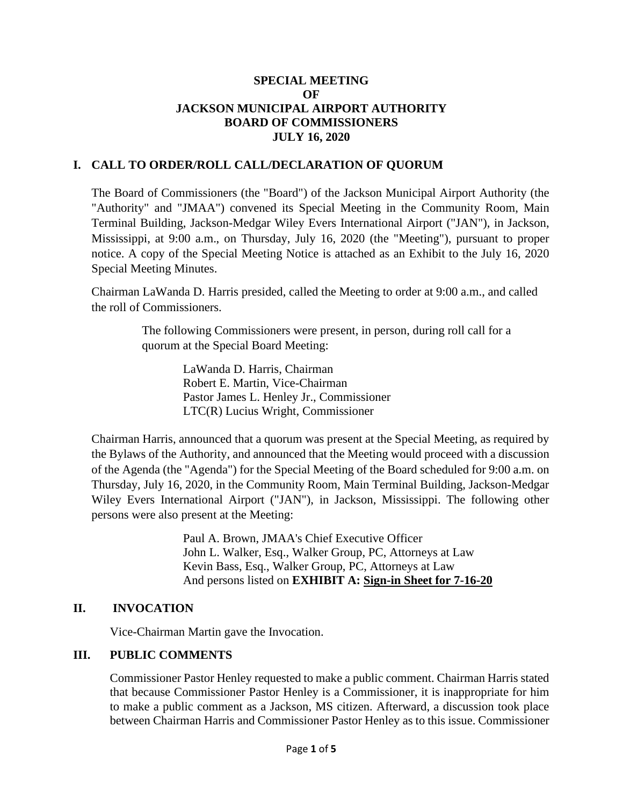#### **SPECIAL MEETING OF JACKSON MUNICIPAL AIRPORT AUTHORITY BOARD OF COMMISSIONERS JULY 16, 2020**

## **I. CALL TO ORDER/ROLL CALL/DECLARATION OF QUORUM**

The Board of Commissioners (the "Board") of the Jackson Municipal Airport Authority (the "Authority" and "JMAA") convened its Special Meeting in the Community Room, Main Terminal Building, Jackson-Medgar Wiley Evers International Airport ("JAN"), in Jackson, Mississippi, at 9:00 a.m., on Thursday, July 16, 2020 (the "Meeting"), pursuant to proper notice. A copy of the Special Meeting Notice is attached as an Exhibit to the July 16, 2020 Special Meeting Minutes.

Chairman LaWanda D. Harris presided, called the Meeting to order at 9:00 a.m., and called the roll of Commissioners.

> The following Commissioners were present, in person, during roll call for a quorum at the Special Board Meeting:

> > LaWanda D. Harris, Chairman Robert E. Martin, Vice-Chairman Pastor James L. Henley Jr., Commissioner LTC(R) Lucius Wright, Commissioner

Chairman Harris, announced that a quorum was present at the Special Meeting, as required by the Bylaws of the Authority, and announced that the Meeting would proceed with a discussion of the Agenda (the "Agenda") for the Special Meeting of the Board scheduled for 9:00 a.m. on Thursday, July 16, 2020, in the Community Room, Main Terminal Building, Jackson-Medgar Wiley Evers International Airport ("JAN"), in Jackson, Mississippi. The following other persons were also present at the Meeting:

> Paul A. Brown, JMAA's Chief Executive Officer John L. Walker, Esq., Walker Group, PC, Attorneys at Law Kevin Bass, Esq., Walker Group, PC, Attorneys at Law And persons listed on **EXHIBIT A: Sign-in Sheet for 7-16-20**

## **II. INVOCATION**

Vice-Chairman Martin gave the Invocation.

# **III. PUBLIC COMMENTS**

Commissioner Pastor Henley requested to make a public comment. Chairman Harris stated that because Commissioner Pastor Henley is a Commissioner, it is inappropriate for him to make a public comment as a Jackson, MS citizen. Afterward, a discussion took place between Chairman Harris and Commissioner Pastor Henley as to this issue. Commissioner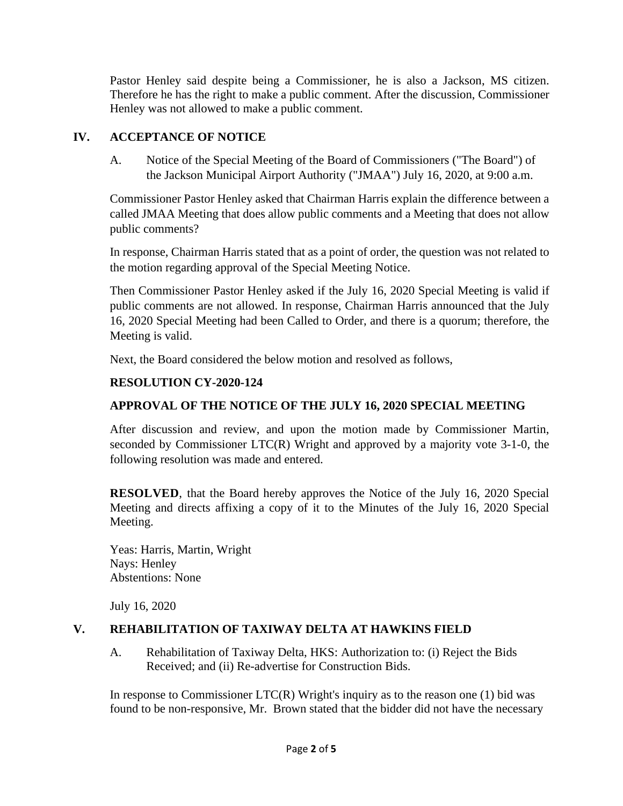Pastor Henley said despite being a Commissioner, he is also a Jackson, MS citizen. Therefore he has the right to make a public comment. After the discussion, Commissioner Henley was not allowed to make a public comment.

# **IV. ACCEPTANCE OF NOTICE**

A. Notice of the Special Meeting of the Board of Commissioners ("The Board") of the Jackson Municipal Airport Authority ("JMAA") July 16, 2020, at 9:00 a.m.

Commissioner Pastor Henley asked that Chairman Harris explain the difference between a called JMAA Meeting that does allow public comments and a Meeting that does not allow public comments?

In response, Chairman Harris stated that as a point of order, the question was not related to the motion regarding approval of the Special Meeting Notice.

Then Commissioner Pastor Henley asked if the July 16, 2020 Special Meeting is valid if public comments are not allowed. In response, Chairman Harris announced that the July 16, 2020 Special Meeting had been Called to Order, and there is a quorum; therefore, the Meeting is valid.

Next, the Board considered the below motion and resolved as follows,

# **RESOLUTION CY-2020-124**

## **APPROVAL OF THE NOTICE OF THE JULY 16, 2020 SPECIAL MEETING**

After discussion and review, and upon the motion made by Commissioner Martin, seconded by Commissioner LTC(R) Wright and approved by a majority vote 3-1-0, the following resolution was made and entered.

**RESOLVED**, that the Board hereby approves the Notice of the July 16, 2020 Special Meeting and directs affixing a copy of it to the Minutes of the July 16, 2020 Special Meeting.

Yeas: Harris, Martin, Wright Nays: Henley Abstentions: None

July 16, 2020

## **V. REHABILITATION OF TAXIWAY DELTA AT HAWKINS FIELD**

A. Rehabilitation of Taxiway Delta, HKS: Authorization to: (i) Reject the Bids Received; and (ii) Re-advertise for Construction Bids.

In response to Commissioner  $LTC(R)$  Wright's inquiry as to the reason one (1) bid was found to be non-responsive, Mr. Brown stated that the bidder did not have the necessary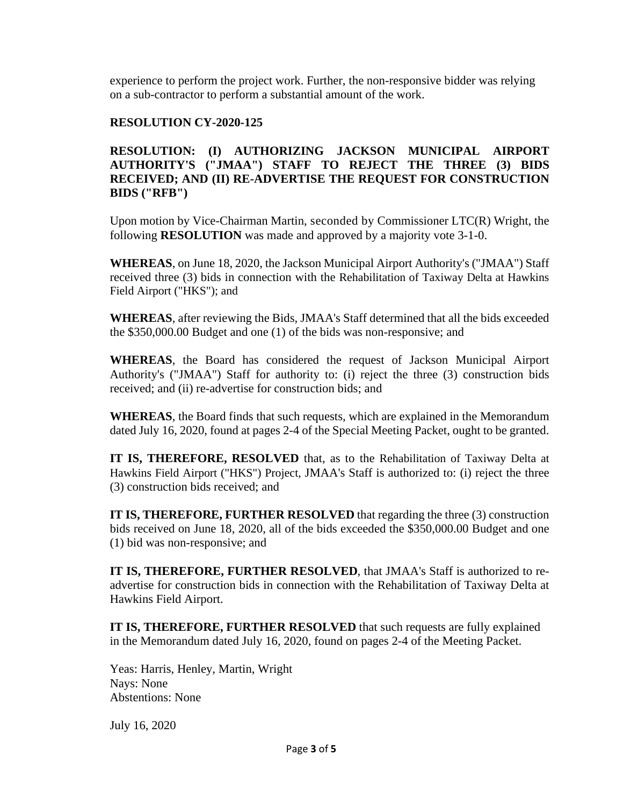experience to perform the project work. Further, the non-responsive bidder was relying on a sub-contractor to perform a substantial amount of the work.

## **RESOLUTION CY-2020-125**

## **RESOLUTION: (I) AUTHORIZING JACKSON MUNICIPAL AIRPORT AUTHORITY'S ("JMAA") STAFF TO REJECT THE THREE (3) BIDS RECEIVED; AND (II) RE-ADVERTISE THE REQUEST FOR CONSTRUCTION BIDS ("RFB")**

Upon motion by Vice-Chairman Martin, seconded by Commissioner LTC(R) Wright, the following **RESOLUTION** was made and approved by a majority vote 3-1-0.

**WHEREAS**, on June 18, 2020, the Jackson Municipal Airport Authority's ("JMAA") Staff received three (3) bids in connection with the Rehabilitation of Taxiway Delta at Hawkins Field Airport ("HKS"); and

**WHEREAS**, after reviewing the Bids, JMAA's Staff determined that all the bids exceeded the \$350,000.00 Budget and one (1) of the bids was non-responsive; and

**WHEREAS**, the Board has considered the request of Jackson Municipal Airport Authority's ("JMAA") Staff for authority to: (i) reject the three (3) construction bids received; and (ii) re-advertise for construction bids; and

**WHEREAS**, the Board finds that such requests, which are explained in the Memorandum dated July 16, 2020, found at pages 2-4 of the Special Meeting Packet, ought to be granted.

**IT IS, THEREFORE, RESOLVED** that, as to the Rehabilitation of Taxiway Delta at Hawkins Field Airport ("HKS") Project, JMAA's Staff is authorized to: (i) reject the three (3) construction bids received; and

**IT IS, THEREFORE, FURTHER RESOLVED** that regarding the three (3) construction bids received on June 18, 2020, all of the bids exceeded the \$350,000.00 Budget and one (1) bid was non-responsive; and

**IT IS, THEREFORE, FURTHER RESOLVED**, that JMAA's Staff is authorized to readvertise for construction bids in connection with the Rehabilitation of Taxiway Delta at Hawkins Field Airport.

**IT IS, THEREFORE, FURTHER RESOLVED** that such requests are fully explained in the Memorandum dated July 16, 2020, found on pages 2-4 of the Meeting Packet.

Yeas: Harris, Henley, Martin, Wright Nays: None Abstentions: None

July 16, 2020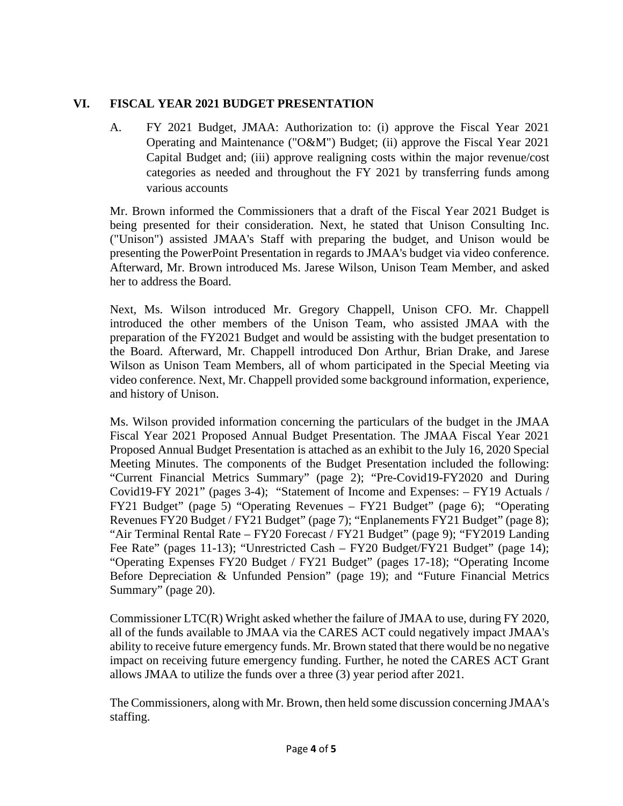# **VI. FISCAL YEAR 2021 BUDGET PRESENTATION**

A. FY 2021 Budget, JMAA: Authorization to: (i) approve the Fiscal Year 2021 Operating and Maintenance ("O&M") Budget; (ii) approve the Fiscal Year 2021 Capital Budget and; (iii) approve realigning costs within the major revenue/cost categories as needed and throughout the FY 2021 by transferring funds among various accounts

Mr. Brown informed the Commissioners that a draft of the Fiscal Year 2021 Budget is being presented for their consideration. Next, he stated that Unison Consulting Inc. ("Unison") assisted JMAA's Staff with preparing the budget, and Unison would be presenting the PowerPoint Presentation in regards to JMAA's budget via video conference. Afterward, Mr. Brown introduced Ms. Jarese Wilson, Unison Team Member, and asked her to address the Board.

Next, Ms. Wilson introduced Mr. Gregory Chappell, Unison CFO. Mr. Chappell introduced the other members of the Unison Team, who assisted JMAA with the preparation of the FY2021 Budget and would be assisting with the budget presentation to the Board. Afterward, Mr. Chappell introduced Don Arthur, Brian Drake, and Jarese Wilson as Unison Team Members, all of whom participated in the Special Meeting via video conference. Next, Mr. Chappell provided some background information, experience, and history of Unison.

Ms. Wilson provided information concerning the particulars of the budget in the JMAA Fiscal Year 2021 Proposed Annual Budget Presentation. The JMAA Fiscal Year 2021 Proposed Annual Budget Presentation is attached as an exhibit to the July 16, 2020 Special Meeting Minutes. The components of the Budget Presentation included the following: "Current Financial Metrics Summary" (page 2); "Pre-Covid19-FY2020 and During Covid19-FY 2021" (pages 3-4); "Statement of Income and Expenses: – FY19 Actuals / FY21 Budget" (page 5) "Operating Revenues – FY21 Budget" (page 6); "Operating Revenues FY20 Budget / FY21 Budget" (page 7); "Enplanements FY21 Budget" (page 8); "Air Terminal Rental Rate – FY20 Forecast / FY21 Budget" (page 9); "FY2019 Landing Fee Rate" (pages 11-13); "Unrestricted Cash – FY20 Budget/FY21 Budget" (page 14); "Operating Expenses FY20 Budget / FY21 Budget" (pages 17-18); "Operating Income Before Depreciation & Unfunded Pension" (page 19); and "Future Financial Metrics Summary" (page 20).

Commissioner LTC(R) Wright asked whether the failure of JMAA to use, during FY 2020, all of the funds available to JMAA via the CARES ACT could negatively impact JMAA's ability to receive future emergency funds. Mr. Brown stated that there would be no negative impact on receiving future emergency funding. Further, he noted the CARES ACT Grant allows JMAA to utilize the funds over a three (3) year period after 2021.

The Commissioners, along with Mr. Brown, then held some discussion concerning JMAA's staffing.